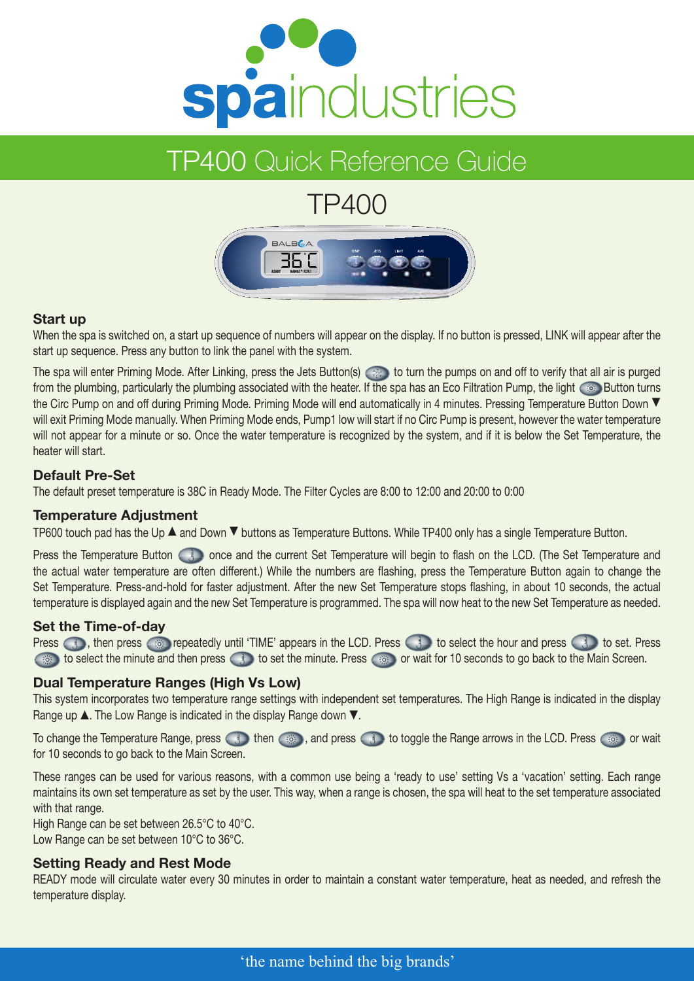

# TP400 Quick Reference Guide

# TP400



# **Start up**

When the spa is switched on, a start up sequence of numbers will appear on the display. If no button is pressed, LINK will appear after the start up sequence. Press any button to link the panel with the system.

The spa will enter Priming Mode. After Linking, press the Jets Button(s)  $\otimes$  to turn the pumps on and off to verify that all air is purged from the plumbing, particularly the plumbing associated with the heater. If the spa has an Eco Filtration Pump, the light  $\otimes$  Button turns the Circ Pump on and off during Priming Mode. Priming Mode will end automatically in 4 minutes. Pressing Temperature Button Down  $\blacktriangledown$ will exit Priming Mode manually. When Priming Mode ends, Pump1 low will start if no Circ Pump is present, however the water temperature will not appear for a minute or so. Once the water temperature is recognized by the system, and if it is below the Set Temperature, the heater will start.

# **Default Pre-Set**

The default preset temperature is 38C in Ready Mode. The Filter Cycles are 8:00 to 12:00 and 20:00 to 0:00

# **Temperature Adjustment**

TP600 touch pad has the Up  $\blacktriangle$  and Down  $\nabla$  buttons as Temperature Buttons. While TP400 only has a single Temperature Button.

Press the Temperature Button  $\Box$  once and the current Set Temperature will begin to flash on the LCD. (The Set Temperature and the actual water temperature are often different.) While the numbers are flashing, press the Temperature Button again to change the Set Temperature. Press-and-hold for faster adjustment. After the new Set Temperature stops flashing, in about 10 seconds, the actual temperature is displayed again and the new Set Temperature is programmed. The spa will now heat to the new Set Temperature as needed.

# **Set the Time-of-day**

Press **a**, then press  $\circ$  repeatedly until 'TIME' appears in the LCD. Press **the select the hour and press the set. Press** to select the minute and then press to set the minute. Press  $\circ$  or wait for 10 seconds to go back to the Main Screen.

# **Dual Temperature Ranges (High Vs Low)**

This system incorporates two temperature range settings with independent set temperatures. The High Range is indicated in the display Range up  $\blacktriangle$ . The Low Range is indicated in the display Range down  $\nabla$ .

To change the Temperature Range, press **then**  $\circ$  then , and press **then to toggle the Range arrows in the LCD. Press**  $\circ$  or wait for 10 seconds to go back to the Main Screen.

These ranges can be used for various reasons, with a common use being a 'ready to use' setting Vs a 'vacation' setting. Each range maintains its own set temperature as set by the user. This way, when a range is chosen, the spa will heat to the set temperature associated with that range.

High Range can be set between 26.5°C to 40°C. Low Range can be set between 10°C to 36°C.

# **Setting Ready and Rest Mode**

READY mode will circulate water every 30 minutes in order to maintain a constant water temperature, heat as needed, and refresh the temperature display.